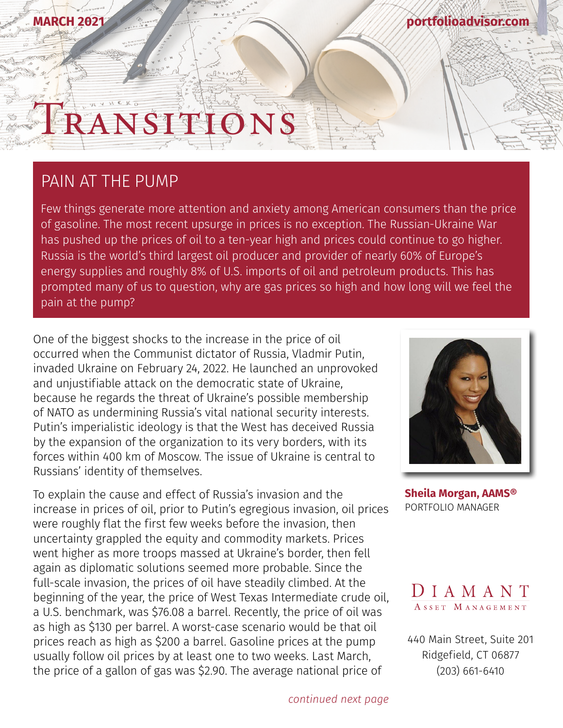### **MARCH 2021**

**[portfolioadvisor.com](http://portfolioadvisor.com)**

# TST TT

### PAIN AT THE PUMP

Few things generate more attention and anxiety among American consumers than the price of gasoline. The most recent upsurge in prices is no exception. The Russian-Ukraine War has pushed up the prices of oil to a ten-year high and prices could continue to go higher. Russia is the world's third largest oil producer and provider of nearly 60% of Europe's energy supplies and roughly 8% of U.S. imports of oil and petroleum products. This has prompted many of us to question, why are gas prices so high and how long will we feel the pain at the pump?

One of the biggest shocks to the increase in the price of oil occurred when the Communist dictator of Russia, Vladmir Putin, invaded Ukraine on February 24, 2022. He launched an unprovoked and unjustifiable attack on the democratic state of Ukraine, because he regards the threat of Ukraine's possible membership of NATO as undermining Russia's vital national security interests. Putin's imperialistic ideology is that the West has deceived Russia by the expansion of the organization to its very borders, with its forces within 400 km of Moscow. The issue of Ukraine is central to Russians' identity of themselves.

To explain the cause and effect of Russia's invasion and the increase in prices of oil, prior to Putin's egregious invasion, oil prices were roughly flat the first few weeks before the invasion, then uncertainty grappled the equity and commodity markets. Prices went higher as more troops massed at Ukraine's border, then fell again as diplomatic solutions seemed more probable. Since the full-scale invasion, the prices of oil have steadily climbed. At the beginning of the year, the price of West Texas Intermediate crude oil, a U.S. benchmark, was \$76.08 a barrel. Recently, the price of oil was as high as \$130 per barrel. A worst-case scenario would be that oil prices reach as high as \$200 a barrel. Gasoline prices at the pump usually follow oil prices by at least one to two weeks. Last March, the price of a gallon of gas was \$2.90. The average national price of



**[Sheila Morgan, AAMS®](http://portfolioadvisor.com/team)** PORTFOLIO MANAGER



[440 Main Street, Suite 201](http://www.portfolioadvisor.com) Ridgefield, CT 06877 (203) 661-6410

*continued next page*